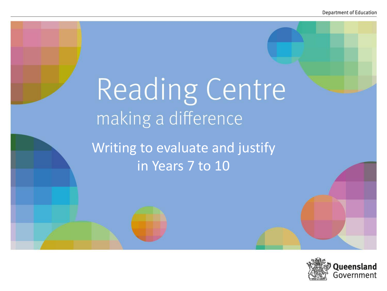# Reading Centre making a difference

Writing to evaluate and justify in Years 7 to 10

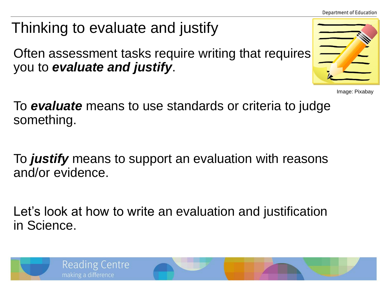**Department of Education** 

# Thinking to evaluate and justify

Often assessment tasks require writing that requires you to *evaluate and justify*.

Image: Pixabay

To *evaluate* means to use standards or criteria to judge something.

To *justify* means to support an evaluation with reasons and/or evidence.

Let's look at how to write an evaluation and justification in Science.

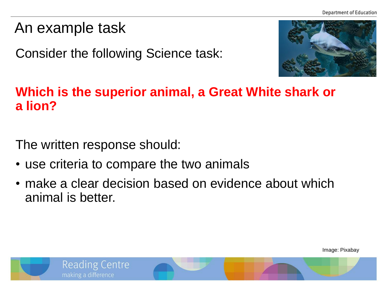## An example task

Consider the following Science task:



#### **Which is the superior animal, a Great White shark or a lion?**

The written response should:

- use criteria to compare the two animals
- make a clear decision based on evidence about which animal is better.

Image: Pixabay

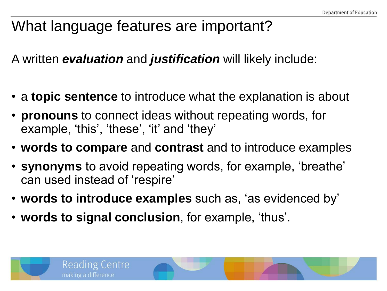## What language features are important?

A written *evaluation* and *justification* will likely include:

- a **topic sentence** to introduce what the explanation is about
- **pronouns** to connect ideas without repeating words, for example, 'this', 'these', 'it' and 'they'
- **words to compare** and **contrast** and to introduce examples
- **synonyms** to avoid repeating words, for example, 'breathe' can used instead of 'respire'
- **words to introduce examples** such as, 'as evidenced by'
- **words to signal conclusion**, for example, 'thus'.

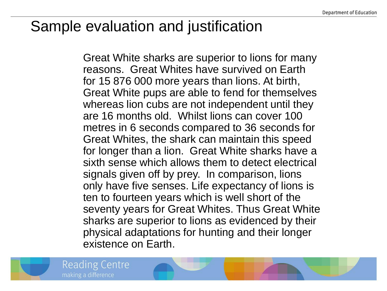## Sample evaluation and justification

Great White sharks are superior to lions for many reasons. Great Whites have survived on Earth for 15 876 000 more years than lions. At birth, Great White pups are able to fend for themselves whereas lion cubs are not independent until they are 16 months old. Whilst lions can cover 100 metres in 6 seconds compared to 36 seconds for Great Whites, the shark can maintain this speed for longer than a lion. Great White sharks have a sixth sense which allows them to detect electrical signals given off by prey. In comparison, lions only have five senses. Life expectancy of lions is ten to fourteen years which is well short of the seventy years for Great Whites. Thus Great White sharks are superior to lions as evidenced by their physical adaptations for hunting and their longer existence on Earth.